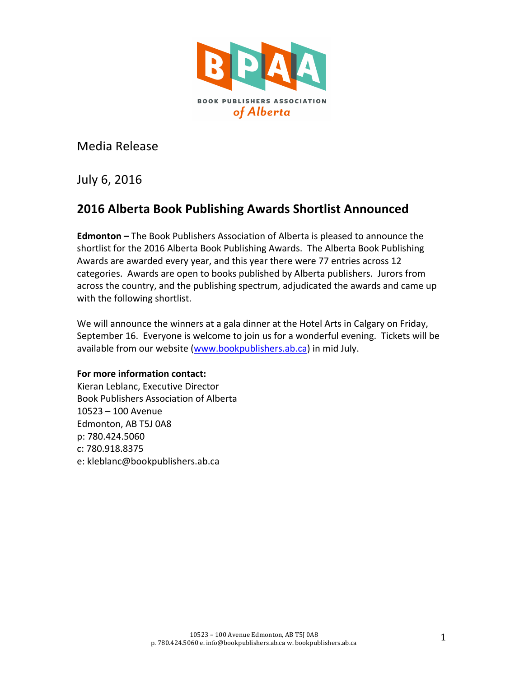

Media Release

July 6, 2016

# **2016 Alberta Book Publishing Awards Shortlist Announced**

**Edmonton** – The Book Publishers Association of Alberta is pleased to announce the shortlist for the 2016 Alberta Book Publishing Awards. The Alberta Book Publishing Awards are awarded every year, and this year there were 77 entries across 12 categories. Awards are open to books published by Alberta publishers. Jurors from across the country, and the publishing spectrum, adjudicated the awards and came up with the following shortlist.

We will announce the winners at a gala dinner at the Hotel Arts in Calgary on Friday, September 16. Everyone is welcome to join us for a wonderful evening. Tickets will be available from our website [\(www.bookpublishers.ab.ca](http://www.bookpublishers.ab.ca)) in mid July.

#### **For more information contact:**

Kieran Leblanc, Executive Director Book Publishers Association of Alberta  $10523 - 100$  Avenue Edmonton, AB T5J 0A8 p: 780.424.5060 c: 780.918.8375 e: kleblanc@bookpublishers.ab.ca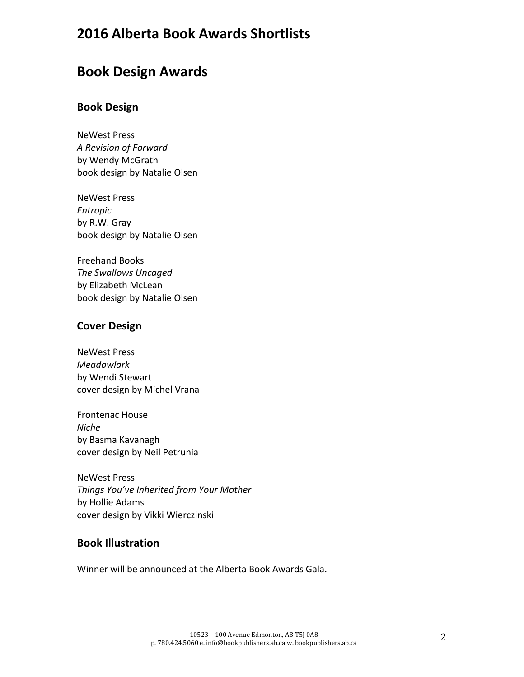# **2016 Alberta Book Awards Shortlists**

# **Book Design Awards**

### **Book Design**

NeWest Press *A Revision of Forward* by Wendy McGrath book design by Natalie Olsen

**NeWest Press** *Entropic* by R.W. Gray book design by Natalie Olsen

**Freehand Books The Swallows Uncaged** by Elizabeth McLean book design by Natalie Olsen

## **Cover Design**

**NeWest Press** *Meadowlark* by Wendi Stewart cover design by Michel Vrana

Frontenac House *Niche* by Basma Kavanagh cover design by Neil Petrunia

NeWest Press *Things You've Inherited from Your Mother* by Hollie Adams cover design by Vikki Wierczinski

## **Book Illustration**

Winner will be announced at the Alberta Book Awards Gala.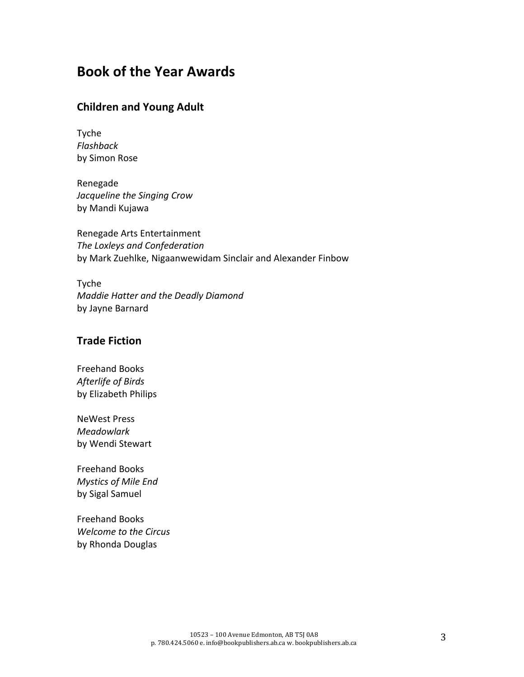# **Book of the Year Awards**

#### **Children and Young Adult**

Tyche *Flashback* by Simon Rose

Renegade *Jacqueline the Singing Crow* by Mandi Kujawa

Renegade Arts Entertainment *The Loxleys and Confederation* by Mark Zuehlke, Nigaanwewidam Sinclair and Alexander Finbow

Tyche *Maddie Hatter and the Deadly Diamond* by Jayne Barnard

### **Trade Fiction**

Freehand Books *Afterlife of Birds* by Elizabeth Philips

**NeWest Press** *Meadowlark* by Wendi Stewart

Freehand Books *Mystics of Mile End* by Sigal Samuel

Freehand Books *Welcome to the Circus* by Rhonda Douglas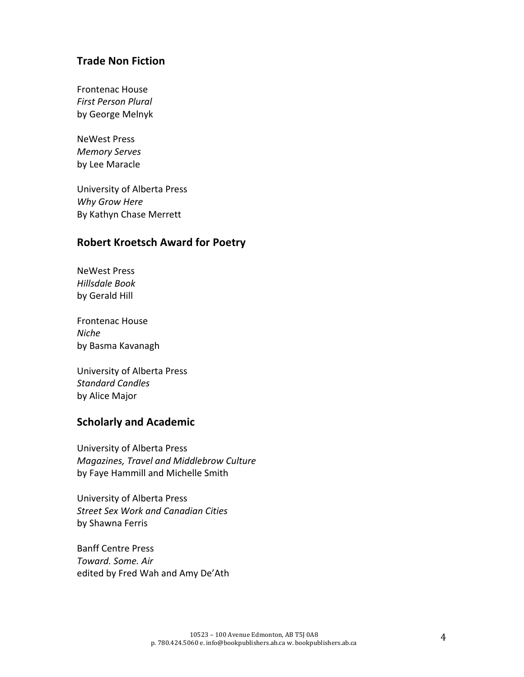#### **Trade Non Fiction**

Frontenac House *First Person Plural* by George Melnyk

**NeWest Press** *Memory Serves* by Lee Maracle

University of Alberta Press *Why Grow Here* By Kathyn Chase Merrett

## **Robert Kroetsch Award for Poetry**

**NeWest Press** *Hillsdale Book* by Gerald Hill

Frontenac House *Niche* by Basma Kavanagh

University of Alberta Press *Standard Candles* by Alice Major

### **Scholarly and Academic**

University of Alberta Press *Magazines, Travel and Middlebrow Culture* by Faye Hammill and Michelle Smith

University of Alberta Press *Street Sex Work and Canadian Cities* by Shawna Ferris

**Banff Centre Press** *Toward. Some. Air* edited by Fred Wah and Amy De'Ath